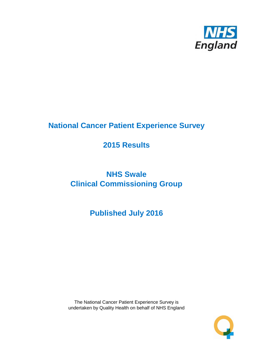

# **National Cancer Patient Experience Survey**

# **2015 Results**

# **NHS Swale Clinical Commissioning Group**

# **Published July 2016**

The National Cancer Patient Experience Survey is undertaken by Quality Health on behalf of NHS England

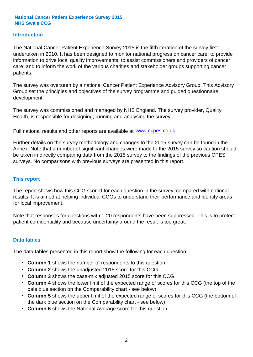### **Introduction**

The National Cancer Patient Experience Survey 2015 is the fifth iteration of the survey first undertaken in 2010. It has been designed to monitor national progress on cancer care; to provide information to drive local quality improvements; to assist commissioners and providers of cancer care; and to inform the work of the various charities and stakeholder groups supporting cancer patients.

The survey was overseen by a national Cancer Patient Experience Advisory Group. This Advisory Group set the principles and objectives of the survey programme and guided questionnaire development.

The survey was commissioned and managed by NHS England. The survey provider, Quality Health, is responsible for designing, running and analysing the survey.

Full national results and other reports are available at www.ncpes.co.uk

Further details on the survey methodology and changes to the 2015 survey can be found in the Annex. Note that a number of significant changes were made to the 2015 survey so caution should be taken in directly comparing data from the 2015 survey to the findings of the previous CPES surveys. No comparisons with previous surveys are presented in this report.

#### **This report**

The report shows how this CCG scored for each question in the survey, compared with national results. It is aimed at helping individual CCGs to understand their performance and identify areas for local improvement.

Note that responses for questions with 1-20 respondents have been suppressed. This is to protect patient confidentiality and because uncertainty around the result is too great.

#### **Data tables**

The data tables presented in this report show the following for each question:

- **Column 1** shows the number of respondents to this question
- **Column 2** shows the unadjusted 2015 score for this CCG
- **Column 3** shows the case-mix adjusted 2015 score for this CCG
- **Column 4** shows the lower limit of the expected range of scores for this CCG (the top of the pale blue section on the Comparability chart - see below)
- **Column 5** shows the upper limit of the expected range of scores for this CCG (the bottom of the dark blue section on the Comparability chart - see below)
- **Column 6** shows the National Average score for this question.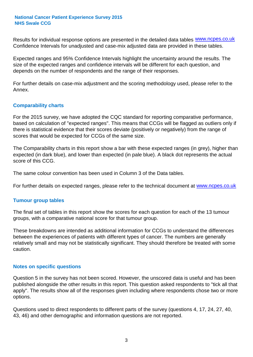Results for individual response options are presented in the detailed data tables **WWW.ncpes.co.uk** Confidence Intervals for unadjusted and case-mix adjusted data are provided in these tables.

Expected ranges and 95% Confidence Intervals highlight the uncertainty around the results. The size of the expected ranges and confidence intervals will be different for each question, and depends on the number of respondents and the range of their responses.

For further details on case-mix adjustment and the scoring methodology used, please refer to the Annex.

### **Comparability charts**

For the 2015 survey, we have adopted the CQC standard for reporting comparative performance, based on calculation of "expected ranges". This means that CCGs will be flagged as outliers only if there is statistical evidence that their scores deviate (positively or negatively) from the range of scores that would be expected for CCGs of the same size.

The Comparability charts in this report show a bar with these expected ranges (in grey), higher than expected (in dark blue), and lower than expected (in pale blue). A black dot represents the actual score of this CCG.

The same colour convention has been used in Column 3 of the Data tables.

For further details on expected ranges, please refer to the technical document at **www.ncpes.co.uk** 

#### **Tumour group tables**

The final set of tables in this report show the scores for each question for each of the 13 tumour groups, with a comparative national score for that tumour group.

These breakdowns are intended as additional information for CCGs to understand the differences between the experiences of patients with different types of cancer. The numbers are generally relatively small and may not be statistically significant. They should therefore be treated with some caution.

#### **Notes on specific questions**

Question 5 in the survey has not been scored. However, the unscored data is useful and has been published alongside the other results in this report. This question asked respondents to "tick all that apply". The results show all of the responses given including where respondents chose two or more options.

Questions used to direct respondents to different parts of the survey (questions 4, 17, 24, 27, 40, 43, 46) and other demographic and information questions are not reported.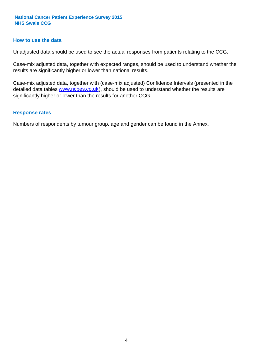#### **How to use the data**

Unadjusted data should be used to see the actual responses from patients relating to the CCG.

Case-mix adjusted data, together with expected ranges, should be used to understand whether the results are significantly higher or lower than national results.

Case-mix adjusted data, together with (case-mix adjusted) Confidence Intervals (presented in the detailed data tables **www.ncpes.co.uk**), should be used to understand whether the results are significantly higher or lower than the results for another CCG.

#### **Response rates**

Numbers of respondents by tumour group, age and gender can be found in the Annex.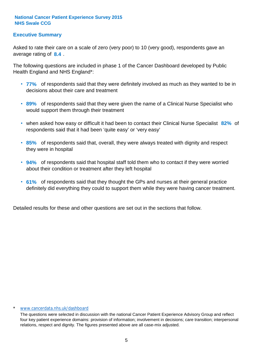## **Executive Summary**

average rating of 8.4. Asked to rate their care on a scale of zero (very poor) to 10 (very good), respondents gave an

The following questions are included in phase 1 of the Cancer Dashboard developed by Public Health England and NHS England\*:

- **77%** of respondents said that they were definitely involved as much as they wanted to be in decisions about their care and treatment
- **89%** of respondents said that they were given the name of a Clinical Nurse Specialist who would support them through their treatment
- when asked how easy or difficult it had been to contact their Clinical Nurse Specialist 82% of respondents said that it had been 'quite easy' or 'very easy'
- **85%** of respondents said that, overall, they were always treated with dignity and respect they were in hospital
- **94%** of respondents said that hospital staff told them who to contact if they were worried about their condition or treatment after they left hospital
- **61%** of respondents said that they thought the GPs and nurses at their general practice definitely did everything they could to support them while they were having cancer treatment.

Detailed results for these and other questions are set out in the sections that follow.

#### www.cancerdata.nhs.uk/dashboard

The questions were selected in discussion with the national Cancer Patient Experience Advisory Group and reflect four key patient experience domains: provision of information; involvement in decisions; care transition; interpersonal relations, respect and dignity. The figures presented above are all case-mix adjusted.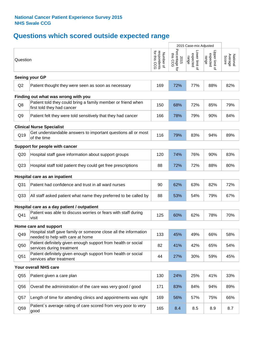# **Questions which scored outside expected range**

|                                  |                                                                                                     |                                          | 2015 Case-mix Adjusted             |                                     |                                     |                              |  |  |
|----------------------------------|-----------------------------------------------------------------------------------------------------|------------------------------------------|------------------------------------|-------------------------------------|-------------------------------------|------------------------------|--|--|
| Question                         |                                                                                                     | respondents<br>for this CCG<br>Number of | Percentage for<br>this CCG<br>2015 | Lower limit of<br>expected<br>range | Upper limit of<br>expected<br>range | Average<br>Score<br>National |  |  |
|                                  | Seeing your GP                                                                                      |                                          |                                    |                                     |                                     |                              |  |  |
| Q2                               | Patient thought they were seen as soon as necessary                                                 | 169                                      | 72%                                | 77%                                 | 88%                                 | 82%                          |  |  |
|                                  | Finding out what was wrong with you                                                                 |                                          |                                    |                                     |                                     |                              |  |  |
| Q8                               | Patient told they could bring a family member or friend when<br>first told they had cancer          | 150                                      | 68%                                | 72%                                 | 85%                                 | 79%                          |  |  |
| Q <sub>9</sub>                   | Patient felt they were told sensitively that they had cancer                                        | 166                                      | 78%                                | 79%                                 | 90%                                 | 84%                          |  |  |
| <b>Clinical Nurse Specialist</b> |                                                                                                     |                                          |                                    |                                     |                                     |                              |  |  |
| Q19                              | Get understandable answers to important questions all or most<br>of the time                        | 116                                      | 79%                                | 83%                                 | 94%                                 | 89%                          |  |  |
|                                  | Support for people with cancer                                                                      |                                          |                                    |                                     |                                     |                              |  |  |
| Q20                              | Hospital staff gave information about support groups                                                | 120                                      | 74%                                | 76%                                 | 90%                                 | 83%                          |  |  |
| Q <sub>23</sub>                  | Hospital staff told patient they could get free prescriptions                                       | 88                                       | 72%                                | 72%                                 | 88%                                 | 80%                          |  |  |
|                                  | Hospital care as an inpatient                                                                       |                                          |                                    |                                     |                                     |                              |  |  |
| Q <sub>31</sub>                  | Patient had confidence and trust in all ward nurses                                                 | 90                                       | 62%                                | 63%                                 | 82%                                 | 72%                          |  |  |
| Q <sub>33</sub>                  | All staff asked patient what name they preferred to be called by                                    | 88                                       | 53%                                | 54%                                 | 79%                                 | 67%                          |  |  |
|                                  | Hospital care as a day patient / outpatient                                                         |                                          |                                    |                                     |                                     |                              |  |  |
| Q41                              | Patient was able to discuss worries or fears with staff during<br>visit                             | 125                                      | 60%                                | 62%                                 | 78%                                 | 70%                          |  |  |
|                                  | Home care and support                                                                               |                                          |                                    |                                     |                                     |                              |  |  |
| Q49                              | Hospital staff gave family or someone close all the information<br>needed to help with care at home | 133                                      | 45%                                | 49%                                 | 66%                                 | 58%                          |  |  |
| Q50                              | Patient definitely given enough support from health or social<br>services during treatment          | 82                                       | 41%                                | 42%                                 | 65%                                 | 54%                          |  |  |
| Q51                              | Patient definitely given enough support from health or social<br>services after treatment           | 44                                       | 27%                                | 30%                                 | 59%                                 | 45%                          |  |  |
|                                  | Your overall NHS care                                                                               |                                          |                                    |                                     |                                     |                              |  |  |
| Q55                              | Patient given a care plan                                                                           | 130                                      | 24%                                | 25%                                 | 41%                                 | 33%                          |  |  |
| Q56                              | Overall the administration of the care was very good / good                                         | 171                                      | 83%                                | 84%                                 | 94%                                 | 89%                          |  |  |
| Q57                              | Length of time for attending clinics and appointments was right                                     | 169                                      | 56%                                | 57%                                 | 75%                                 | 66%                          |  |  |
| Q59                              | Patient's average rating of care scored from very poor to very<br>good                              | 165                                      | 8.4                                | 8.5                                 | 8.9                                 | 8.7                          |  |  |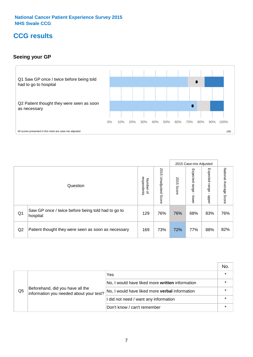## **CCG results**

## **Seeing your GP**



|    |                                                                |                                              |                             |               | 2015 Case-mix Adjusted     |                            |                           |
|----|----------------------------------------------------------------|----------------------------------------------|-----------------------------|---------------|----------------------------|----------------------------|---------------------------|
|    | Question                                                       | respondents<br>Number<br>$\overline{\sigma}$ | 2015<br>Unadjusted<br>Score | 2015<br>Score | Expected<br>range<br>lower | Expected<br>range<br>nbber | National Average<br>Score |
| Q1 | Saw GP once / twice before being told had to go to<br>hospital | 129                                          | 76%                         | 76%           | 68%                        | 83%                        | 76%                       |
| Q2 | Patient thought they were seen as soon as necessary            | 169                                          | 73%                         | 72%           | 77%                        | 88%                        | 82%                       |

|    |                                                                             |                                                 | No. |
|----|-----------------------------------------------------------------------------|-------------------------------------------------|-----|
|    |                                                                             | Yes                                             |     |
|    | Beforehand, did you have all the<br>information you needed about your test? | No, I would have liked more written information |     |
| Q5 |                                                                             | No, I would have liked more verbal information  |     |
|    |                                                                             | I did not need / want any information           |     |
|    |                                                                             | Don't know / can't remember                     |     |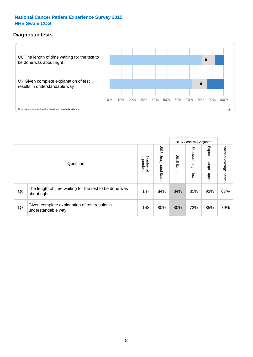## **Diagnostic tests**



|                |                                                                       |                                       |                             |               | 2015 Case-mix Adjusted       |                         |                           |
|----------------|-----------------------------------------------------------------------|---------------------------------------|-----------------------------|---------------|------------------------------|-------------------------|---------------------------|
|                | Question                                                              | respondents<br>Number<br>$\mathbf{Q}$ | 2015<br>Unadjusted<br>Score | 2015<br>Score | Expected<br>I range<br>lower | Expected range<br>nbber | National Average<br>Score |
| Q <sub>6</sub> | The length of time waiting for the test to be done was<br>about right | 147                                   | 84%                         | 84%           | 81%                          | 92%                     | 87%                       |
| Q7             | Given complete explanation of test results in<br>understandable way   | 148                                   | 80%                         | 80%           | 72%                          | 85%                     | 79%                       |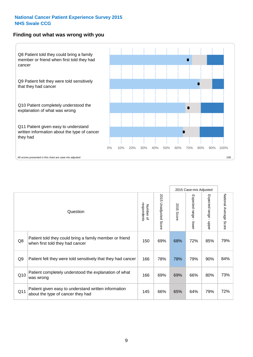#### **Finding out what was wrong with you**



|                |                                                                                            |                          |                          |               | 2015 Case-mix Adjusted    |                           |                        |
|----------------|--------------------------------------------------------------------------------------------|--------------------------|--------------------------|---------------|---------------------------|---------------------------|------------------------|
|                | Question                                                                                   | respondents<br>Number of | 2015<br>Unadjusted Score | 2015<br>Score | Expected range<br>- lower | Expected range<br>- nbbeu | National Average Score |
| Q8             | Patient told they could bring a family member or friend<br>when first told they had cancer | 150                      | 69%                      | 68%           | 72%                       | 85%                       | 79%                    |
| Q <sub>9</sub> | Patient felt they were told sensitively that they had cancer                               | 166                      | 78%                      | 78%           | 79%                       | 90%                       | 84%                    |
| Q10            | Patient completely understood the explanation of what<br>was wrong                         | 166                      | 69%                      | 69%           | 66%                       | 80%                       | 73%                    |
| Q11            | Patient given easy to understand written information<br>about the type of cancer they had  | 145                      | 66%                      | 65%           | 64%                       | 79%                       | 72%                    |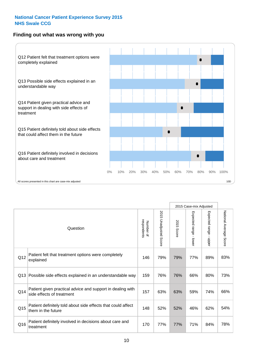## **Finding out what was wrong with you**



|     |                                                                                         |                          |                                 |               | 2015 Case-mix Adjusted                  |                           |                        |
|-----|-----------------------------------------------------------------------------------------|--------------------------|---------------------------------|---------------|-----------------------------------------|---------------------------|------------------------|
|     | Question                                                                                | respondents<br>Number of | 2015<br><b>Unadjusted Score</b> | 2015<br>Score | Expected range<br>$\mathbf{r}$<br>lower | Expected range<br>- nbbeu | National Average Score |
| Q12 | Patient felt that treatment options were completely<br>explained                        | 146                      | 79%                             | 79%           | 77%                                     | 89%                       | 83%                    |
| Q13 | Possible side effects explained in an understandable way                                | 159                      | 76%                             | 76%           | 66%                                     | 80%                       | 73%                    |
| Q14 | Patient given practical advice and support in dealing with<br>side effects of treatment | 157                      | 63%                             | 63%           | 59%                                     | 74%                       | 66%                    |
| Q15 | Patient definitely told about side effects that could affect<br>them in the future      | 148                      | 52%                             | 52%           | 46%                                     | 62%                       | 54%                    |
| Q16 | Patient definitely involved in decisions about care and<br>treatment                    | 170                      | 77%                             | 77%           | 71%                                     | 84%                       | 78%                    |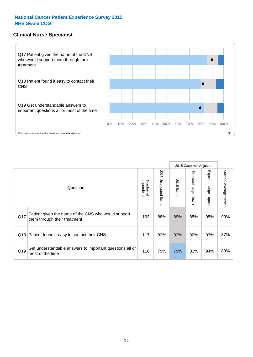### **Clinical Nurse Specialist**



|     |                                                                                     |                          |                       |               | 2015 Case-mix Adjusted  |                         |                        |
|-----|-------------------------------------------------------------------------------------|--------------------------|-----------------------|---------------|-------------------------|-------------------------|------------------------|
|     | Question                                                                            | Number of<br>respondents | 2015 Unadjusted Score | 2015<br>Score | Expected range<br>lower | Expected range<br>nbber | National Average Score |
| Q17 | Patient given the name of the CNS who would support<br>them through their treatment | 163                      | 88%                   | 89%           | 85%                     | 95%                     | 90%                    |
| Q18 | Patient found it easy to contact their CNS                                          | 117                      | 82%                   | 82%           | 80%                     | 93%                     | 87%                    |
| Q19 | Get understandable answers to important questions all or<br>most of the time        | 116                      | 79%                   | 79%           | 83%                     | 94%                     | 89%                    |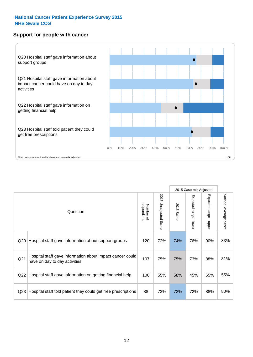#### **Support for people with cancer**



|                 |                                                                                            |                          |                                 |               | 2015 Case-mix Adjusted  |                           |                        |
|-----------------|--------------------------------------------------------------------------------------------|--------------------------|---------------------------------|---------------|-------------------------|---------------------------|------------------------|
|                 | Question                                                                                   | respondents<br>Number of | 2015<br><b>Unadjusted Score</b> | 2015<br>Score | Expected range<br>lower | Expected range<br>- nbber | National Average Score |
| Q20             | Hospital staff gave information about support groups                                       | 120                      | 72%                             | 74%           | 76%                     | 90%                       | 83%                    |
| Q <sub>21</sub> | Hospital staff gave information about impact cancer could<br>have on day to day activities | 107                      | 75%                             | 75%           | 73%                     | 88%                       | 81%                    |
| Q22             | Hospital staff gave information on getting financial help                                  | 100                      | 55%                             | 58%           | 45%                     | 65%                       | 55%                    |
| Q <sub>23</sub> | Hospital staff told patient they could get free prescriptions                              | 88                       | 73%                             | 72%           | 72%                     | 88%                       | 80%                    |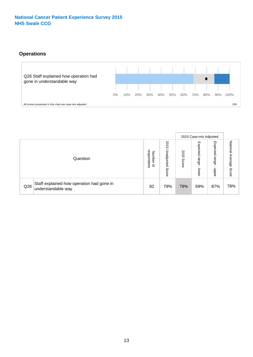## **Operations**



|     |                                                                 |                                         |                             |               | 2015 Case-mix Adjusted     |                           |                              |
|-----|-----------------------------------------------------------------|-----------------------------------------|-----------------------------|---------------|----------------------------|---------------------------|------------------------------|
|     | Question                                                        | respondents<br>Number<br>$\overline{a}$ | 2015<br>Unadjusted<br>Score | 2015<br>Score | Expected<br>range<br>lower | Expected<br>range<br>ddoe | National<br>Average<br>Score |
| Q26 | Staff explained how operation had gone in<br>understandable way | 82                                      | 79%                         | 79%           | 69%                        | 87%                       | 78%                          |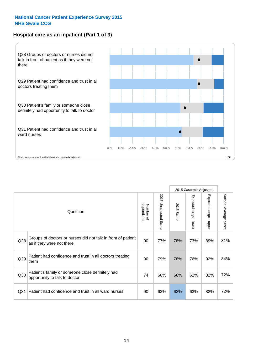## **Hospital care as an inpatient (Part 1 of 3)**



All scores presented in this chart are case-mix adjusted  $10D$ 

|                 |                                                                                           |                          |                       |               | 2015 Case-mix Adjusted                  |                                           |                        |
|-----------------|-------------------------------------------------------------------------------------------|--------------------------|-----------------------|---------------|-----------------------------------------|-------------------------------------------|------------------------|
|                 | Question                                                                                  | respondents<br>Number of | 2015 Unadjusted Score | 2015<br>Score | Expected range<br>$\mathbf{r}$<br>lower | Expected range<br>$\blacksquare$<br>nbber | National Average Score |
| Q28             | Groups of doctors or nurses did not talk in front of patient<br>as if they were not there | 90                       | 77%                   | 78%           | 73%                                     | 89%                                       | 81%                    |
| Q29             | Patient had confidence and trust in all doctors treating<br>them                          | 90                       | 79%                   | 78%           | 76%                                     | 92%                                       | 84%                    |
| Q30             | Patient's family or someone close definitely had<br>opportunity to talk to doctor         | 74                       | 66%                   | 66%           | 62%                                     | 82%                                       | 72%                    |
| Q <sub>31</sub> | Patient had confidence and trust in all ward nurses                                       | 90                       | 63%                   | 62%           | 63%                                     | 82%                                       | 72%                    |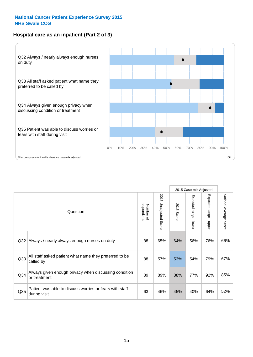## **Hospital care as an inpatient (Part 2 of 3)**



|                 |                                                                         |                          |                       |               | 2015 Case-mix Adjusted |                           |                                  |
|-----------------|-------------------------------------------------------------------------|--------------------------|-----------------------|---------------|------------------------|---------------------------|----------------------------------|
|                 | Question                                                                | respondents<br>Number of | 2015 Unadjusted Score | 2015<br>Score | Expected range - lower | Expected range<br>- nbber | National Average<br><b>Score</b> |
| Q <sub>32</sub> | Always / nearly always enough nurses on duty                            | 88                       | 65%                   | 64%           | 56%                    | 76%                       | 66%                              |
| Q33             | All staff asked patient what name they preferred to be<br>called by     | 88                       | 57%                   | 53%           | 54%                    | 79%                       | 67%                              |
| Q <sub>34</sub> | Always given enough privacy when discussing condition<br>or treatment   | 89                       | 89%                   | 88%           | 77%                    | 92%                       | 85%                              |
| Q <sub>35</sub> | Patient was able to discuss worries or fears with staff<br>during visit | 63                       | 46%                   | 45%           | 40%                    | 64%                       | 52%                              |
|                 |                                                                         |                          |                       |               |                        |                           |                                  |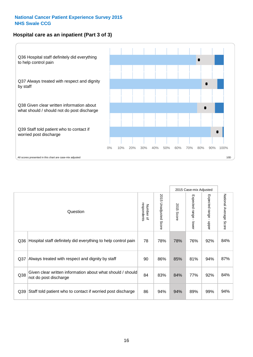### **Hospital care as an inpatient (Part 3 of 3)**



|                 |                                                                                     |                          |                                 |                      | 2015 Case-mix Adjusted                    |                           |                        |
|-----------------|-------------------------------------------------------------------------------------|--------------------------|---------------------------------|----------------------|-------------------------------------------|---------------------------|------------------------|
|                 | Question                                                                            | respondents<br>Number of | 2015<br><b>Unadjusted Score</b> | 2015<br><b>Score</b> | Expected range<br>$\blacksquare$<br>lower | Expected range -<br>nbber | National Average Score |
| Q36             | Hospital staff definitely did everything to help control pain                       | 78                       | 78%                             | 78%                  | 76%                                       | 92%                       | 84%                    |
| Q <sub>37</sub> | Always treated with respect and dignity by staff                                    | 90                       | 86%                             | 85%                  | 81%                                       | 94%                       | 87%                    |
| Q38             | Given clear written information about what should / should<br>not do post discharge | 84                       | 83%                             | 84%                  | 77%                                       | 92%                       | 84%                    |
| Q39             | Staff told patient who to contact if worried post discharge                         | 86                       | 94%                             | 94%                  | 89%                                       | 99%                       | 94%                    |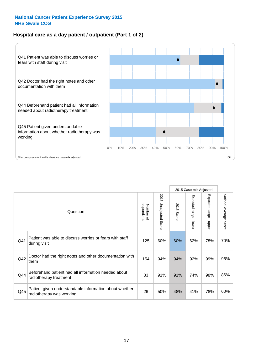## **Hospital care as a day patient / outpatient (Part 1 of 2)**



|     |                                                                                    |                          |                                 |                      | 2015 Case-mix Adjusted                    |                                           |                        |
|-----|------------------------------------------------------------------------------------|--------------------------|---------------------------------|----------------------|-------------------------------------------|-------------------------------------------|------------------------|
|     | Question                                                                           | respondents<br>Number of | 2015<br><b>Unadjusted Score</b> | 2015<br><b>Score</b> | Expected range<br>$\blacksquare$<br>lower | Expected range<br>$\blacksquare$<br>nbber | National Average Score |
| Q41 | Patient was able to discuss worries or fears with staff<br>during visit            | 125                      | 60%                             | 60%                  | 62%                                       | 78%                                       | 70%                    |
| Q42 | Doctor had the right notes and other documentation with<br>them                    | 154                      | 94%                             | 94%                  | 92%                                       | 99%                                       | 96%                    |
| Q44 | Beforehand patient had all information needed about<br>radiotherapy treatment      | 33                       | 91%                             | 91%                  | 74%                                       | 98%                                       | 86%                    |
| Q45 | Patient given understandable information about whether<br>radiotherapy was working | 26                       | 50%                             | 48%                  | 41%                                       | 78%                                       | 60%                    |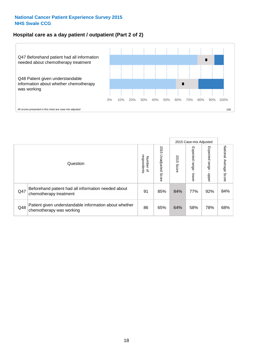### **Hospital care as a day patient / outpatient (Part 2 of 2)**



|     |                                                                                    |                                       |                             |               | 2015 Case-mix Adjusted      |                        |                           |
|-----|------------------------------------------------------------------------------------|---------------------------------------|-----------------------------|---------------|-----------------------------|------------------------|---------------------------|
|     | Question                                                                           | respondents<br>Number<br>$\mathbf{Q}$ | 2015<br>Unadjusted<br>Score | 2015<br>Score | Expected<br>Irange<br>lower | Expected range<br>dddn | National Average<br>Score |
| Q47 | Beforehand patient had all information needed about<br>chemotherapy treatment      | 91                                    | 85%                         | 84%           | 77%                         | 92%                    | 84%                       |
| Q48 | Patient given understandable information about whether<br>chemotherapy was working | 86                                    | 65%                         | 64%           | 58%                         | 78%                    | 68%                       |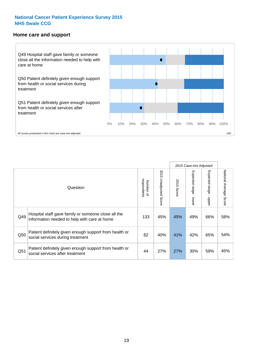#### **Home care and support**



All scores presented in this chart are case-mix adjusted

|                 |                                                                                                     |                          |                          |               | 2015 Case-mix Adjusted  |                         |                        |
|-----------------|-----------------------------------------------------------------------------------------------------|--------------------------|--------------------------|---------------|-------------------------|-------------------------|------------------------|
|                 | Question                                                                                            | respondents<br>Number of | 2015<br>Unadjusted Score | 2015<br>Score | Expected range<br>lower | Expected range<br>nbber | National Average Score |
| Q49             | Hospital staff gave family or someone close all the<br>information needed to help with care at home | 133                      | 45%                      | 45%           | 49%                     | 66%                     | 58%                    |
| Q50             | Patient definitely given enough support from health or<br>social services during treatment          | 82                       | 40%                      | 41%           | 42%                     | 65%                     | 54%                    |
| Q <sub>51</sub> | Patient definitely given enough support from health or<br>social services after treatment           | 44                       | 27%                      | 27%           | 30%                     | 59%                     | 45%                    |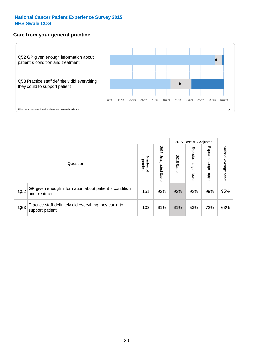### **Care from your general practice**



|     |                                                                           |                                              |                             | 2015 Case-mix Adjusted |                              |                         |                           |
|-----|---------------------------------------------------------------------------|----------------------------------------------|-----------------------------|------------------------|------------------------------|-------------------------|---------------------------|
|     | Question                                                                  | respondents<br>Number<br>$\overline{\sigma}$ | 2015<br>Unadjusted<br>Score | 2015<br>Score          | Expected<br>I range<br>lower | Expected range<br>doper | National Average<br>Score |
| Q52 | GP given enough information about patient's condition<br>and treatment    | 151                                          | 93%                         | 93%                    | 92%                          | 99%                     | 95%                       |
| Q53 | Practice staff definitely did everything they could to<br>support patient | 108                                          | 61%                         | 61%                    | 53%                          | 72%                     | 63%                       |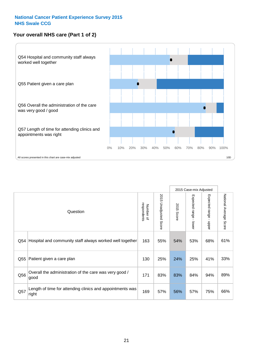## **Your overall NHS care (Part 1 of 2)**



|     |                                                                    |                          |                          | 2015 Case-mix Adjusted |                                         |                                           |                        |
|-----|--------------------------------------------------------------------|--------------------------|--------------------------|------------------------|-----------------------------------------|-------------------------------------------|------------------------|
|     | Question                                                           | respondents<br>Number of | 2015<br>Unadjusted Score | 2015<br>Score          | Expected range<br>$\mathbf{I}$<br>lower | Expected range<br>$\blacksquare$<br>nbber | National Average Score |
| Q54 | Hospital and community staff always worked well together           | 163                      | 55%                      | 54%                    | 53%                                     | 68%                                       | 61%                    |
| Q55 | Patient given a care plan                                          | 130                      | 25%                      | 24%                    | 25%                                     | 41%                                       | 33%                    |
| Q56 | Overall the administration of the care was very good /<br>good     | 171                      | 83%                      | 83%                    | 84%                                     | 94%                                       | 89%                    |
| Q57 | Length of time for attending clinics and appointments was<br>right | 169                      | 57%                      | 56%                    | 57%                                     | 75%                                       | 66%                    |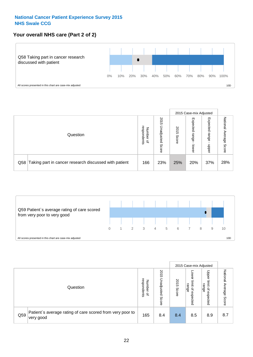## **Your overall NHS care (Part 2 of 2)**



|  |                                                           |                                         |                             |               | 2015 Case-mix Adjusted     |                            |                           |
|--|-----------------------------------------------------------|-----------------------------------------|-----------------------------|---------------|----------------------------|----------------------------|---------------------------|
|  | Question                                                  | respondents<br>Number<br>$\overline{a}$ | 2015<br>Unadjusted<br>Score | 2015<br>Score | Expected<br>range<br>lower | Expected<br>range<br>doper | National<br>Average Score |
|  | Q58 Taking part in cancer research discussed with patient | 166                                     | 23%                         | 25%           | 20%                        | 37%                        | 28%                       |



|     |                                                                        |                                              |                             |               |                                           | 2015 Case-mix Adjusted                                |                              |
|-----|------------------------------------------------------------------------|----------------------------------------------|-----------------------------|---------------|-------------------------------------------|-------------------------------------------------------|------------------------------|
|     | Question                                                               | respondents<br>Number<br>$\overline{\sigma}$ | 2015<br>Jnadjusted<br>Score | 2015<br>Score | OWer<br>limit<br>range<br>਼੍ਰ<br>expected | Upper<br>limit<br>range<br>$\overline{a}$<br>expected | National<br>Average<br>Score |
| Q59 | Patient's average rating of care scored from very poor to<br>very good | 165                                          | 8.4                         | 8.4           | 8.5                                       | 8.9                                                   | 8.7                          |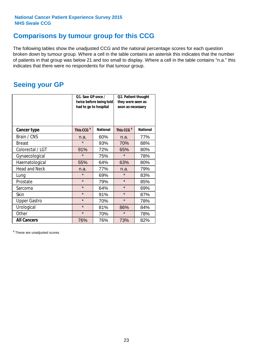## **Comparisons by tumour group for this CCG**

The following tables show the unadjusted CCG and the national percentage scores for each question broken down by tumour group. Where a cell in the table contains an asterisk this indicates that the number of patients in that group was below 21 and too small to display. Where a cell in the table contains "n.a." this indicates that there were no respondents for that tumour group.

## **Seeing your GP**

|                      | Q1. Saw GP once /<br>had to go to hospital | twice before being told | Q2. Patient thought<br>they were seen as<br>soon as necessary |                 |  |
|----------------------|--------------------------------------------|-------------------------|---------------------------------------------------------------|-----------------|--|
| <b>Cancer type</b>   | This CCG <sup>\$</sup>                     | <b>National</b>         | This CCG <sup>\$</sup>                                        | <b>National</b> |  |
| Brain / CNS          | n.a.                                       | 60%                     | n.a.                                                          | 77%             |  |
| <b>Breast</b>        | $\star$                                    | 93%                     | 70%                                                           | 88%             |  |
| Colorectal / LGT     | 91%                                        | 72%                     | 65%                                                           | 80%             |  |
| Gynaecological       | $\star$                                    | 75%                     | $\star$                                                       | 78%             |  |
| Haematological       | 55%                                        | 64%                     | 63%                                                           | 80%             |  |
| <b>Head and Neck</b> | n.a.                                       | 77%                     | n.a.                                                          | 79%             |  |
| Lung                 | $\star$                                    | 69%                     | $\star$                                                       | 83%             |  |
| Prostate             | $\star$                                    | 79%                     | $\star$                                                       | 85%             |  |
| Sarcoma              | $\star$                                    | 64%                     | $\star$                                                       | 69%             |  |
| <b>Skin</b>          | $\star$                                    | 91%                     | $\star$                                                       | 87%             |  |
| <b>Upper Gastro</b>  | $\star$                                    | 70%                     | $\star$                                                       | 78%             |  |
| Urological           | $\star$                                    | 81%                     | 86%                                                           | 84%             |  |
| Other                | $\star$                                    | 70%                     | $\star$                                                       | 78%             |  |
| <b>All Cancers</b>   | 76%                                        | 76%                     | 73%                                                           | 82%             |  |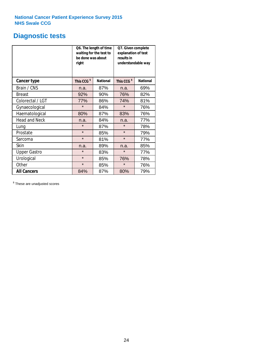## **Diagnostic tests**

|                      | be done was about<br>right | Q6. The length of time<br>waiting for the test to | Q7. Given complete<br>explanation of test<br>results in<br>understandable way |                 |  |
|----------------------|----------------------------|---------------------------------------------------|-------------------------------------------------------------------------------|-----------------|--|
| <b>Cancer type</b>   | This CCG <sup>\$</sup>     | <b>National</b>                                   | This CCG <sup>\$</sup>                                                        | <b>National</b> |  |
| Brain / CNS          | n.a.                       | 87%                                               | n.a.                                                                          | 69%             |  |
| <b>Breast</b>        | 92%                        | 90%                                               | 76%                                                                           | 82%             |  |
| Colorectal / LGT     | 77%                        | 86%                                               | 74%                                                                           | 81%             |  |
| Gynaecological       | $\star$                    | 84%                                               | $\star$                                                                       | 76%             |  |
| Haematological       | 80%                        | 87%                                               | 83%                                                                           | 76%             |  |
| <b>Head and Neck</b> | n.a.                       | 84%                                               | n.a.                                                                          | 77%             |  |
| Lung                 | $\star$                    | 87%                                               | $\star$                                                                       | 78%             |  |
| Prostate             | $\star$                    | 85%                                               | $\star$                                                                       | 79%             |  |
| Sarcoma              | $\star$                    | 81%                                               | $\star$                                                                       | 77%             |  |
| Skin                 | n.a.                       | 89%                                               | n.a.                                                                          | 85%             |  |
| <b>Upper Gastro</b>  | $\star$                    | 83%                                               | $\star$                                                                       | 77%             |  |
| Urological           | $\star$                    | 85%                                               | 76%                                                                           | 78%             |  |
| Other                | $\star$<br>85%             |                                                   | $\star$                                                                       | 76%             |  |
| <b>All Cancers</b>   | 84%                        | 87%                                               | 80%                                                                           | 79%             |  |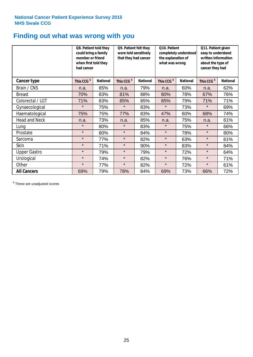## **Finding out what was wrong with you**

|                      | Q8. Patient told they<br>could bring a family<br>member or friend<br>when first told they<br>had cancer |                 | Q9. Patient felt they<br>were told sensitively<br>that they had cancer |                 | Q10. Patient<br>completely understood<br>the explanation of<br>what was wrong |                 | Q11. Patient given<br>easy to understand<br>written information<br>about the type of<br>cancer they had |                 |
|----------------------|---------------------------------------------------------------------------------------------------------|-----------------|------------------------------------------------------------------------|-----------------|-------------------------------------------------------------------------------|-----------------|---------------------------------------------------------------------------------------------------------|-----------------|
| Cancer type          | This CCG <sup>\$</sup>                                                                                  | <b>National</b> | This CCG <sup>\$</sup>                                                 | <b>National</b> | This CCG <sup>\$</sup>                                                        | <b>National</b> | This CCG <sup>\$</sup>                                                                                  | <b>National</b> |
| Brain / CNS          | n.a.                                                                                                    | 85%             | n.a.                                                                   | 79%             | n.a.                                                                          | 60%             | n.a.                                                                                                    | 62%             |
| <b>Breast</b>        | 70%                                                                                                     | 83%             | 81%                                                                    | 88%             | 80%                                                                           | 78%             | 67%                                                                                                     | 76%             |
| Colorectal / LGT     | 71%                                                                                                     | 83%             | 85%                                                                    | 85%             | 85%                                                                           | 79%             | 71%                                                                                                     | 71%             |
| Gynaecological       | $\star$                                                                                                 | 75%             | $\star$                                                                | 83%             | $\star$                                                                       | 73%             | $\star$                                                                                                 | 69%             |
| Haematological       | 75%                                                                                                     | 75%             | 77%                                                                    | 83%             | 47%                                                                           | 60%             | 68%                                                                                                     | 74%             |
| <b>Head and Neck</b> | n.a.                                                                                                    | 73%             | n.a.                                                                   | 85%             | n.a.                                                                          | 75%             | n.a.                                                                                                    | 61%             |
| Lung                 | $\star$                                                                                                 | 80%             | $\star$                                                                | 83%             | $\star$                                                                       | 75%             | $\star$                                                                                                 | 66%             |
| Prostate             | $\star$                                                                                                 | 80%             | $\star$                                                                | 84%             | $\star$                                                                       | 78%             | $\star$                                                                                                 | 80%             |
| Sarcoma              | $\star$                                                                                                 | 77%             | $\star$                                                                | 82%             | $\star$                                                                       | 63%             | $\star$                                                                                                 | 61%             |
| Skin                 | $\star$                                                                                                 | 71%             | $\star$                                                                | 90%             | $\star$                                                                       | 83%             | $\star$                                                                                                 | 84%             |
| <b>Upper Gastro</b>  | $\star$                                                                                                 | 79%             | $\star$                                                                | 79%             | $\star$                                                                       | 72%             | $\star$                                                                                                 | 64%             |
| Urological           | $\star$                                                                                                 | 74%             | $\star$                                                                | 82%             | $\star$                                                                       | 76%             | $\star$                                                                                                 | 71%             |
| Other                | $\star$                                                                                                 | 77%             | $\star$                                                                | 82%             | $\star$                                                                       | 72%             | $\star$                                                                                                 | 61%             |
| <b>All Cancers</b>   | 69%                                                                                                     | 79%             | 78%                                                                    | 84%             | 69%                                                                           | 73%             | 66%                                                                                                     | 72%             |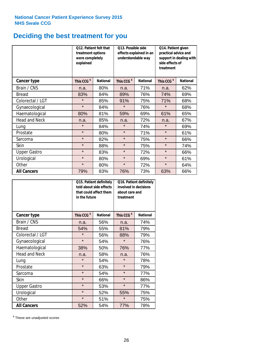# **Deciding the best treatment for you**

|                      | treatment options<br>were completely<br>explained | <b>Q12. Patient felt that</b> | Q13. Possible side<br>understandable way | effects explained in an | Q14. Patient given<br>practical advice and<br>support in dealing with<br>side effects of<br>treatment |                 |  |
|----------------------|---------------------------------------------------|-------------------------------|------------------------------------------|-------------------------|-------------------------------------------------------------------------------------------------------|-----------------|--|
| Cancer type          | This CCG <sup>\$</sup>                            | <b>National</b>               | This CCG <sup>\$</sup>                   | <b>National</b>         | This CCG <sup>\$</sup>                                                                                | <b>National</b> |  |
| Brain / CNS          | n.a.                                              | 80%                           | n.a.                                     | 71%                     | n.a.                                                                                                  | 62%             |  |
| <b>Breast</b>        | 83%                                               | 84%                           | 89%                                      | 76%                     | 74%                                                                                                   | 69%             |  |
| Colorectal / LGT     | $\star$                                           | 85%                           | 91%                                      | 75%                     | 71%                                                                                                   | 68%             |  |
| Gynaecological       | $\star$                                           | 84%                           | $\star$                                  | 76%                     | $\star$                                                                                               | 68%             |  |
| Haematological       | 80%                                               | 81%                           | 59%                                      | 69%                     | 61%                                                                                                   | 65%             |  |
| <b>Head and Neck</b> | n.a.                                              | 85%                           | n.a.                                     | 72%                     | n.a.                                                                                                  | 67%             |  |
| Lung                 | $\star$                                           | 84%                           | $\star$                                  | 74%                     | $\star$                                                                                               | 69%             |  |
| Prostate             | $\star$                                           | 80%                           | $\star$                                  | 71%                     | $\star$                                                                                               | 61%             |  |
| Sarcoma              | $\star$                                           | 82%                           | $\star$                                  | 75%                     | $\star$                                                                                               | 66%             |  |
| Skin                 | $\star$                                           | 88%                           | $\star$                                  | 75%                     | $\star$                                                                                               | 74%             |  |
| <b>Upper Gastro</b>  | $\star$                                           | 83%                           | $\star$                                  | 72%                     | $\star$                                                                                               | 66%             |  |
| Urological           | $\star$                                           | 80%                           | $\star$                                  | 69%                     | $\star$                                                                                               | 61%             |  |
| Other                | $\star$                                           | 80%                           | $\star$                                  | 72%                     | $\star$                                                                                               | 64%             |  |
| <b>All Cancers</b>   | 79%                                               | 83%                           | 76%                                      | 73%                     | 63%                                                                                                   | 66%             |  |

|                      | in the future          | Q15. Patient definitely<br>told about side effects<br>that could affect them | Q16. Patient definitely<br>involved in decisions<br>about care and<br>treatment |                 |  |
|----------------------|------------------------|------------------------------------------------------------------------------|---------------------------------------------------------------------------------|-----------------|--|
| <b>Cancer type</b>   | This CCG <sup>\$</sup> | <b>National</b>                                                              | This CCG <sup>\$</sup>                                                          | <b>National</b> |  |
| Brain / CNS          | n.a.                   | 56%                                                                          | n.a.                                                                            | 74%             |  |
| <b>Breast</b>        | 54%                    | 55%                                                                          | 81%                                                                             | 79%             |  |
| Colorectal / LGT     | $\star$                | 56%                                                                          | 88%                                                                             | 79%             |  |
| Gynaecological       | $\star$<br>54%         |                                                                              | $\star$                                                                         | 76%             |  |
| Haematological       | 38%                    | 50%                                                                          | 76%                                                                             | 77%             |  |
| <b>Head and Neck</b> | n.a.                   | 58%                                                                          | n.a.                                                                            | 76%             |  |
| Lung                 | $\star$                | 54%                                                                          | $\star$                                                                         | 78%             |  |
| Prostate             | $\star$                | 63%                                                                          | $\star$                                                                         | 79%             |  |
| Sarcoma              | $\star$                | 54%                                                                          | $\star$                                                                         | 77%             |  |
| Skin                 | $\star$                | 66%                                                                          | $\star$                                                                         | 86%             |  |
| <b>Upper Gastro</b>  | $\star$                | 53%                                                                          | $\star$                                                                         | 77%             |  |
| Urological           | $\star$                | 52%                                                                          | 55%                                                                             | 75%             |  |
| Other                | $\star$                | 51%                                                                          | $\star$                                                                         | 75%             |  |
| <b>All Cancers</b>   | 52%                    | 54%                                                                          | 77%                                                                             | 78%             |  |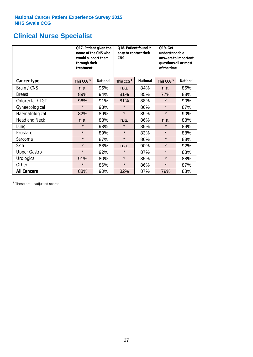# **Clinical Nurse Specialist**

|                     | would support them<br>through their<br>treatment | Q17. Patient given the<br>name of the CNS who | Q18. Patient found it<br>easy to contact their<br><b>CNS</b> |     | <b>Q19. Get</b><br>understandable<br>answers to important<br>questions all or most<br>of the time |                 |
|---------------------|--------------------------------------------------|-----------------------------------------------|--------------------------------------------------------------|-----|---------------------------------------------------------------------------------------------------|-----------------|
| <b>Cancer type</b>  | This CCG <sup>\$</sup>                           | <b>National</b>                               | This CCG <sup>\$</sup><br><b>National</b>                    |     | This CCG <sup>\$</sup>                                                                            | <b>National</b> |
| Brain / CNS         | n.a.                                             | 95%                                           | n.a.                                                         | 84% | n.a.                                                                                              | 85%             |
| <b>Breast</b>       | 89%                                              | 94%                                           | 81%                                                          | 85% | 77%                                                                                               | 88%             |
| Colorectal / LGT    | 96%                                              | 91%                                           | 81%                                                          | 88% | $\star$                                                                                           | 90%             |
| Gynaecological      | $\star$                                          | 93%                                           | $\star$                                                      | 86% | $\star$                                                                                           | 87%             |
| Haematological      | 82%                                              | 89%                                           | $\star$                                                      | 89% | $\star$                                                                                           | 90%             |
| Head and Neck       | n.a.                                             | 88%                                           | n.a.                                                         | 86% | n.a.                                                                                              | 88%             |
| Lung                | $\star$                                          | 93%                                           | $\star$                                                      | 89% | $\star$                                                                                           | 89%             |
| Prostate            | $\star$                                          | 89%                                           | $\star$                                                      | 83% | $\star$                                                                                           | 88%             |
| Sarcoma             | $\star$                                          | 87%                                           | $\star$                                                      | 86% | $\star$                                                                                           | 88%             |
| Skin                | $\star$                                          | 88%                                           | n.a.                                                         | 90% | $\star$                                                                                           | 92%             |
| <b>Upper Gastro</b> | $\star$                                          | 92%                                           | $\star$                                                      | 87% | $\star$                                                                                           | 88%             |
| Urological          | 91%                                              | 80%                                           | $\star$                                                      | 85% | $\star$                                                                                           | 88%             |
| Other               | $\star$                                          | 86%                                           | $\star$                                                      | 86% | $\star$                                                                                           | 87%             |
| <b>All Cancers</b>  | 88%                                              | 90%                                           | 82%                                                          | 87% | 79%                                                                                               | 88%             |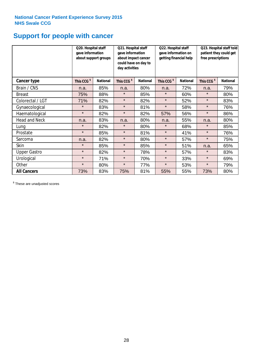# **Support for people with cancer**

|                      |                        | Q20. Hospital staff<br>gave information<br>about support groups |                        | Q21. Hospital staff<br>gave information<br>about impact cancer<br>could have on day to<br>day activities | Q22. Hospital staff<br>gave information on<br>getting financial help |                 | Q23. Hospital staff told<br>patient they could get<br>free prescriptions |                 |
|----------------------|------------------------|-----------------------------------------------------------------|------------------------|----------------------------------------------------------------------------------------------------------|----------------------------------------------------------------------|-----------------|--------------------------------------------------------------------------|-----------------|
| <b>Cancer type</b>   | This CCG <sup>\$</sup> | <b>National</b>                                                 | This CCG <sup>\$</sup> | <b>National</b>                                                                                          | This CCG <sup>\$</sup>                                               | <b>National</b> | This CCG <sup>\$</sup>                                                   | <b>National</b> |
| Brain / CNS          | n.a.                   | 85%                                                             | n.a.                   | 80%                                                                                                      | n.a.                                                                 | 72%             | n.a.                                                                     | 79%             |
| <b>Breast</b>        | 75%                    | 88%                                                             | $\star$                | 85%                                                                                                      | $\star$                                                              | 60%             | $\star$                                                                  | 80%             |
| Colorectal / LGT     | 71%                    | 82%                                                             | $\star$                | 82%                                                                                                      | $\star$                                                              | 52%             | $\star$                                                                  | 83%             |
| Gynaecological       | $\star$                | 83%                                                             | $\star$                | 81%                                                                                                      | $\star$                                                              | 58%             | $\star$                                                                  | 76%             |
| Haematological       | $\star$                | 82%                                                             | $\star$                | 82%                                                                                                      | 57%                                                                  | 56%             | $\star$                                                                  | 86%             |
| <b>Head and Neck</b> | n.a.                   | 83%                                                             | n.a.                   | 80%                                                                                                      | n.a.                                                                 | 55%             | n.a.                                                                     | 80%             |
| Lung                 | $\star$                | 82%                                                             | $\star$                | 80%                                                                                                      | $\star$                                                              | 68%             | $\star$                                                                  | 85%             |
| Prostate             | $\star$                | 85%                                                             | $\star$                | 81%                                                                                                      | $\star$                                                              | 41%             | $\star$                                                                  | 76%             |
| Sarcoma              | n.a.                   | 82%                                                             | $\star$                | 80%                                                                                                      | $\star$                                                              | 57%             | $\star$                                                                  | 75%             |
| Skin                 | $\star$                | 85%                                                             | $\star$                | 85%                                                                                                      | $\star$                                                              | 51%             | n.a.                                                                     | 65%             |
| <b>Upper Gastro</b>  | $\star$                | 82%                                                             | $\star$                | 78%                                                                                                      | $\star$                                                              | 57%             | $\star$                                                                  | 83%             |
| Urological           | $\star$                | 71%                                                             | $\star$                | 70%                                                                                                      | $\star$                                                              | 33%             | $\star$                                                                  | 69%             |
| Other                | $\star$                | 80%                                                             | $\star$                | 77%                                                                                                      | $\star$                                                              | 53%             | $\star$                                                                  | 79%             |
| <b>All Cancers</b>   | 73%                    | 83%                                                             | 75%                    | 81%                                                                                                      | 55%                                                                  | 55%             | 73%                                                                      | 80%             |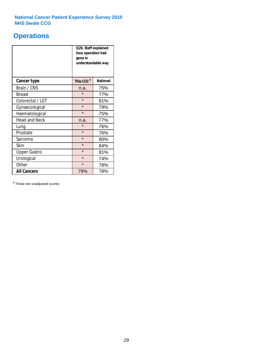## **Operations**

|                      | Q26. Staff explained<br>how operation had<br>gone in<br>understandable way |                 |  |  |  |
|----------------------|----------------------------------------------------------------------------|-----------------|--|--|--|
| <b>Cancer type</b>   | This CCG <sup>\$</sup>                                                     | <b>National</b> |  |  |  |
| Brain / CNS          | n.a.                                                                       | 75%             |  |  |  |
| <b>Breast</b>        | $\star$                                                                    | 77%             |  |  |  |
| Colorectal / LGT     | $\star$                                                                    | 81%             |  |  |  |
| Gynaecological       | $\star$                                                                    | 79%             |  |  |  |
| Haematological       | $\star$                                                                    | 75%             |  |  |  |
| <b>Head and Neck</b> | n.a.                                                                       | 77%             |  |  |  |
| Lung                 | $\star$                                                                    | 76%             |  |  |  |
| Prostate             | $\star$                                                                    | 76%             |  |  |  |
| Sarcoma              | $\star$                                                                    | 80%             |  |  |  |
| Skin                 | $\star$                                                                    | 84%             |  |  |  |
| <b>Upper Gastro</b>  | $\star$                                                                    | 81%             |  |  |  |
| Urological           | $\star$                                                                    | 74%             |  |  |  |
| Other                | $\star$<br>78%                                                             |                 |  |  |  |
| <b>All Cancers</b>   | 78%<br>79%                                                                 |                 |  |  |  |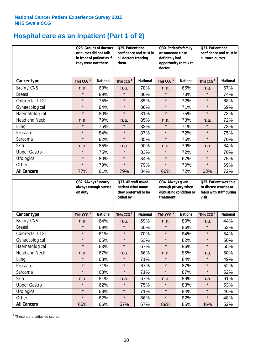# **Hospital care as an inpatient (Part 1 of 2)**

|                      |                        | Q28. Groups of doctors<br>Q29. Patient had<br>or nurses did not talk<br>confidence and trust in<br>in front of patient as if<br>all doctors treating<br>they were not there<br>them |                        | Q30. Patient's family<br>or someone close<br>definitely had<br>opportunity to talk to<br>doctor |                        | Q31. Patient had<br>confidence and trust in I<br>all ward nurses |                        |                 |
|----------------------|------------------------|-------------------------------------------------------------------------------------------------------------------------------------------------------------------------------------|------------------------|-------------------------------------------------------------------------------------------------|------------------------|------------------------------------------------------------------|------------------------|-----------------|
| Cancer type          | This CCG <sup>\$</sup> | <b>National</b>                                                                                                                                                                     | This CCG <sup>\$</sup> | <b>National</b>                                                                                 | This CCG <sup>\$</sup> | <b>National</b>                                                  | This CCG <sup>\$</sup> | <b>National</b> |
| Brain / CNS          | n.a.                   | 68%                                                                                                                                                                                 | n.a.                   | 78%                                                                                             | n.a.                   | 65%                                                              | n.a.                   | 67%             |
| <b>Breast</b>        | $\star$                | 89%                                                                                                                                                                                 | $\star$                | 86%                                                                                             | $\star$                | 73%                                                              | $\star$                | 74%             |
| Colorectal / LGT     | $\star$                | 75%                                                                                                                                                                                 | $\star$                | 85%                                                                                             | $\star$                | 72%                                                              | $\star$                | 68%             |
| Gynaecological       | $\star$                | 84%                                                                                                                                                                                 | $\star$                | 86%                                                                                             | $\star$                | 71%                                                              | $\star$                | 69%             |
| Haematological       | $\star$                | 80%                                                                                                                                                                                 | $\star$                | 81%                                                                                             | $\star$                | 75%                                                              | $\star$                | 73%             |
| <b>Head and Neck</b> | n.a.                   | 79%                                                                                                                                                                                 | n.a.                   | 85%                                                                                             | n.a.                   | 73%                                                              | n.a.                   | 72%             |
| Lung                 | $\star$                | 75%                                                                                                                                                                                 | $\star$                | 82%                                                                                             | $\star$                | 71%                                                              | $\star$                | 73%             |
| Prostate             | $\star$                | 84%                                                                                                                                                                                 | $\star$                | 87%                                                                                             | $\star$                | 72%                                                              | $\star$                | 75%             |
| Sarcoma              | $\star$                | 82%                                                                                                                                                                                 | $\star$                | 85%                                                                                             | $\star$                | 75%                                                              | $\star$                | 70%             |
| Skin                 | n.a.                   | 85%                                                                                                                                                                                 | n.a.                   | 90%                                                                                             | n.a.                   | 79%                                                              | n.a.                   | 84%             |
| <b>Upper Gastro</b>  | $\star$                | 75%                                                                                                                                                                                 | $\star$                | 83%                                                                                             | $\star$                | 72%                                                              | $\star$                | 70%             |
| Urological           | $\star$                | 80%                                                                                                                                                                                 | $\star$                | 84%                                                                                             | $\star$                | 67%                                                              | $\star$                | 75%             |
| Other                | $\star$                | 79%                                                                                                                                                                                 | $\star$                | 79%                                                                                             | $\star$                | 70%                                                              | $\star$                | 69%             |
| <b>All Cancers</b>   | 77%                    | 81%                                                                                                                                                                                 | 79%                    | 84%                                                                                             | 66%                    | 72%                                                              | 63%                    | 72%             |

|                      | on duty                | Q32. Always / nearly<br>always enough nurses |                        | Q33. All staff asked<br>patient what name<br>they preferred to be | Q34. Always given<br>enough privacy when<br>discussing condition or<br>treatment |                 | Q35. Patient was able<br>to discuss worries or<br>fears with staff during<br>visit |                 |
|----------------------|------------------------|----------------------------------------------|------------------------|-------------------------------------------------------------------|----------------------------------------------------------------------------------|-----------------|------------------------------------------------------------------------------------|-----------------|
| <b>Cancer type</b>   | This CCG <sup>\$</sup> | <b>National</b>                              | This CCG <sup>\$</sup> | <b>National</b>                                                   | This CCG <sup>\$</sup>                                                           | <b>National</b> | This CCG <sup>\$</sup>                                                             | <b>National</b> |
| Brain / CNS          | n.a.                   | 64%                                          | n.a.                   | 69%                                                               | n.a.                                                                             | 80%             | n.a.                                                                               | 44%             |
| <b>Breast</b>        | $\star$                | 69%                                          | $\star$                | 60%                                                               | $\star$                                                                          | 86%             | $\star$                                                                            | 53%             |
| Colorectal / LGT     | $\star$                | 61%                                          | $\star$                | 70%                                                               | $\star$                                                                          | 84%             | $\star$                                                                            | 54%             |
| Gynaecological       | $\star$                | 65%                                          | $\star$                | 63%                                                               | $\star$                                                                          | 82%             | $\star$                                                                            | 50%             |
| Haematological       | $\star$                | 63%                                          | $\star$                | 67%                                                               | $\star$                                                                          | 86%             | $\star$                                                                            | 55%             |
| <b>Head and Neck</b> | n.a.                   | 67%                                          | n.a.                   | 66%                                                               | n.a.                                                                             | 85%             | n.a.                                                                               | 50%             |
| Lung                 | $\star$                | 68%                                          | $\star$                | 71%                                                               | $\star$                                                                          | 84%             | $\star$                                                                            | 49%             |
| Prostate             | $\star$                | 71%                                          | $\star$                | 67%                                                               | $\star$                                                                          | 87%             | $\star$                                                                            | 52%             |
| Sarcoma              | $\star$                | 68%                                          | $\star$                | 71%                                                               | $\star$                                                                          | 87%             | $\star$                                                                            | 52%             |
| Skin                 | n.a.                   | 81%                                          | n.a.                   | 67%                                                               | n.a.                                                                             | 89%             | n.a.                                                                               | 61%             |
| <b>Upper Gastro</b>  | $\star$                | 62%                                          | $\star$                | 75%                                                               | $\star$                                                                          | 83%             | $\star$                                                                            | 53%             |
| Urological           | $\star$                | 68%                                          | $\star$                | 71%                                                               | $\star$                                                                          | 84%             | $\star$                                                                            | 46%             |
| Other                | $\star$                | 62%                                          | $\star$                | 66%                                                               | $\star$                                                                          | 82%             | $\star$                                                                            | 48%             |
| <b>All Cancers</b>   | 65%                    | 66%                                          | 57%                    | 67%                                                               | 89%                                                                              | 85%             | 46%                                                                                | 52%             |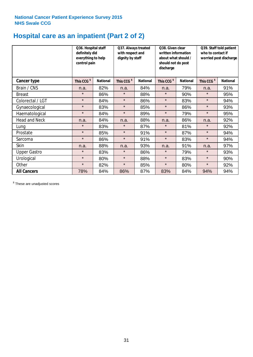# **Hospital care as an inpatient (Part 2 of 2)**

|                      | Q36. Hospital staff<br>definitely did<br>everything to help<br>control pain |                 | Q37. Always treated<br>with respect and<br>dignity by staff |                 | Q38. Given clear<br>written information<br>about what should /<br>should not do post<br>discharge |                 | Q39. Staff told patient<br>who to contact if<br>worried post discharge |                 |
|----------------------|-----------------------------------------------------------------------------|-----------------|-------------------------------------------------------------|-----------------|---------------------------------------------------------------------------------------------------|-----------------|------------------------------------------------------------------------|-----------------|
| Cancer type          | This CCG <sup>\$</sup>                                                      | <b>National</b> | This CCG <sup>\$</sup>                                      | <b>National</b> | This CCG <sup>\$</sup>                                                                            | <b>National</b> | This CCG <sup>\$</sup>                                                 | <b>National</b> |
| Brain / CNS          | n.a.                                                                        | 82%             | n.a.                                                        | 84%             | n.a.                                                                                              | 79%             | n.a.                                                                   | 91%             |
| <b>Breast</b>        | $\star$                                                                     | 86%             | $\star$                                                     | 88%             | $\star$                                                                                           | 90%             | $\star$                                                                | 95%             |
| Colorectal / LGT     | $\star$                                                                     | 84%             | $\star$                                                     | 86%             | $\star$                                                                                           | 83%             | $\star$                                                                | 94%             |
| Gynaecological       | $\star$                                                                     | 83%             | $\star$                                                     | 85%             | $\star$                                                                                           | 86%             | $\star$                                                                | 93%             |
| Haematological       | $\star$                                                                     | 84%             | $\star$                                                     | 89%             | $\star$                                                                                           | 79%             | $\star$                                                                | 95%             |
| <b>Head and Neck</b> | n.a.                                                                        | 84%             | n.a.                                                        | 88%             | n.a.                                                                                              | 86%             | n.a.                                                                   | 92%             |
| Lung                 | $\star$                                                                     | 83%             | $\star$                                                     | 87%             | $\star$                                                                                           | 81%             | $\star$                                                                | 92%             |
| Prostate             | $\star$                                                                     | 85%             | $\star$                                                     | 91%             | $\star$                                                                                           | 87%             | $\star$                                                                | 94%             |
| Sarcoma              | $\star$                                                                     | 86%             | $\star$                                                     | 91%             | $\star$                                                                                           | 83%             | $\star$                                                                | 94%             |
| Skin                 | n.a.                                                                        | 88%             | n.a.                                                        | 93%             | n.a.                                                                                              | 91%             | n.a.                                                                   | 97%             |
| <b>Upper Gastro</b>  | $\star$                                                                     | 83%             | $\star$                                                     | 86%             | $\star$                                                                                           | 79%             | $\star$                                                                | 93%             |
| Urological           | $\star$                                                                     | 80%             | $\star$                                                     | 88%             | $\star$                                                                                           | 83%             | $\star$                                                                | 90%             |
| Other                | $\star$                                                                     | 82%             | $\star$                                                     | 85%             | $\star$                                                                                           | 80%             | $\star$                                                                | 92%             |
| <b>All Cancers</b>   | 78%                                                                         | 84%             | 86%                                                         | 87%             | 83%                                                                                               | 84%             | 94%                                                                    | 94%             |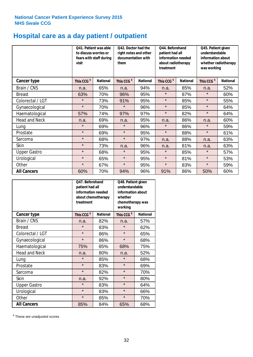# **Hospital care as a day patient / outpatient**

|                      | to discuss worries or<br>visit | Q41. Patient was able<br>fears with staff during | Q42. Doctor had the<br>right notes and other<br>documentation with<br>them |                 | Q44. Beforehand<br>patient had all<br>information needed<br>about radiotherapy<br>treatment |                 | Q45. Patient given<br>understandable<br>information about<br>whether radiotherapy<br>was working |                 |
|----------------------|--------------------------------|--------------------------------------------------|----------------------------------------------------------------------------|-----------------|---------------------------------------------------------------------------------------------|-----------------|--------------------------------------------------------------------------------------------------|-----------------|
| Cancer type          | This CCG <sup>\$</sup>         | <b>National</b>                                  | This CCG <sup>\$</sup>                                                     | <b>National</b> | This CCG <sup>\$</sup>                                                                      | <b>National</b> | This CCG <sup>\$</sup>                                                                           | <b>National</b> |
| Brain / CNS          | n.a.                           | 65%                                              | n.a.                                                                       | 94%             | n.a.                                                                                        | 85%             | n.a.                                                                                             | 52%             |
| <b>Breast</b>        | 63%                            | 70%                                              | 96%                                                                        | 95%             | $\star$                                                                                     | 87%             | $\star$                                                                                          | 60%             |
| Colorectal / LGT     | $\star$                        | 73%                                              | 91%                                                                        | 95%             | $\star$                                                                                     | 85%             | $\star$                                                                                          | 55%             |
| Gynaecological       | $\star$                        | 70%                                              | $\star$                                                                    | 96%             | $\star$                                                                                     | 85%             | $\star$                                                                                          | 64%             |
| Haematological       | 57%                            | 74%                                              | 97%                                                                        | 97%             | $\star$                                                                                     | 82%             | $\star$                                                                                          | 64%             |
| <b>Head and Neck</b> | n.a.                           | 69%                                              | n.a.                                                                       | 95%             | n.a.                                                                                        | 86%             | n.a.                                                                                             | 60%             |
| Lung                 | $\star$                        | 69%                                              | $\star$                                                                    | 96%             | $\star$                                                                                     | 86%             | $\star$                                                                                          | 59%             |
| Prostate             | $\star$                        | 69%                                              | $\star$                                                                    | 95%             | $\star$                                                                                     | 88%             | $\star$                                                                                          | 61%             |
| Sarcoma              | $\star$                        | 68%                                              | $\star$                                                                    | 97%             | n.a.                                                                                        | 88%             | n.a.                                                                                             | 63%             |
| Skin                 | $\star$                        | 73%                                              | n.a.                                                                       | 96%             | n.a.                                                                                        | 81%             | n.a.                                                                                             | 63%             |
| <b>Upper Gastro</b>  | $\star$                        | 68%                                              | $\star$                                                                    | 95%             | $\star$                                                                                     | 85%             | $\star$                                                                                          | 57%             |
| Urological           | $\star$                        | 65%                                              | $\star$                                                                    | 95%             | $\star$                                                                                     | 81%             | $\star$                                                                                          | 53%             |
| Other                | $\star$                        | 67%                                              | $\star$                                                                    | 95%             | $\star$                                                                                     | 83%             | $\star$                                                                                          | 59%             |
| <b>All Cancers</b>   | 60%                            | 70%                                              | 94%                                                                        | 96%             | 91%                                                                                         | 86%             | 50%                                                                                              | 60%             |

|                      | Q47. Beforehand<br>patient had all<br>information needed<br>about chemotherapy<br>treatment |                 | Q48. Patient given<br>understandable<br>information about<br>whether<br>chemotherapy was<br>working |                 |  |
|----------------------|---------------------------------------------------------------------------------------------|-----------------|-----------------------------------------------------------------------------------------------------|-----------------|--|
| <b>Cancer type</b>   | This CCG <sup>\$</sup>                                                                      | <b>National</b> | This CCG <sup>\$</sup>                                                                              | <b>National</b> |  |
| Brain / CNS          | n.a.                                                                                        | 82%             | n.a.                                                                                                | 57%             |  |
| <b>Breast</b>        | $\star$                                                                                     | 83%             | $\star$                                                                                             | 62%             |  |
| Colorectal / LGT     | $\star$                                                                                     | 86%             | $\star$                                                                                             | 65%             |  |
| Gynaecological       | $\star$                                                                                     | 86%             | $\star$                                                                                             | 68%             |  |
| Haematological       | 85%<br>75%                                                                                  |                 | 68%                                                                                                 | 75%             |  |
| <b>Head and Neck</b> | n.a.                                                                                        | 80%             | n.a.                                                                                                | 52%             |  |
| Lung                 | $\star$                                                                                     | 85%             | $\star$                                                                                             | 68%             |  |
| Prostate             | $\star$                                                                                     | 83%             | $\star$                                                                                             | 69%             |  |
| Sarcoma              | $\star$                                                                                     | 82%             | $\star$                                                                                             | 70%             |  |
| Skin                 | n.a.                                                                                        | 92%             | $\star$                                                                                             | 80%             |  |
| <b>Upper Gastro</b>  | $\star$                                                                                     | 83%             | $\star$                                                                                             | 64%             |  |
| Urological           | $\star$                                                                                     | 83%             | $\star$                                                                                             | 66%             |  |
| Other                | $\star$                                                                                     | 85%             | $\star$                                                                                             | 70%             |  |
| <b>All Cancers</b>   | 85%                                                                                         | 84%             | 65%                                                                                                 | 68%             |  |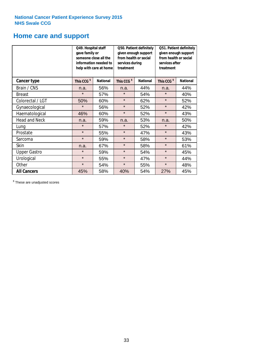## **Home care and support**

|                      | Q49. Hospital staff<br>gave family or | someone close all the<br>information needed to<br>help with care at home | Q50. Patient definitely<br>given enough support<br>from health or social<br>services during<br>treatment |                 | Q51. Patient definitely<br>given enough support<br>from health or social<br>services after<br>treatment |                 |
|----------------------|---------------------------------------|--------------------------------------------------------------------------|----------------------------------------------------------------------------------------------------------|-----------------|---------------------------------------------------------------------------------------------------------|-----------------|
| <b>Cancer type</b>   | This CCG <sup>\$</sup>                | <b>National</b>                                                          | This CCG <sup>\$</sup>                                                                                   | <b>National</b> | This CCG <sup>\$</sup>                                                                                  | <b>National</b> |
| Brain / CNS          | n.a.                                  | 56%                                                                      | n.a.                                                                                                     | 44%             | n.a.                                                                                                    | 44%             |
| <b>Breast</b>        | $\star$                               | 57%                                                                      | $\star$                                                                                                  | 54%             | $\star$                                                                                                 | 40%             |
| Colorectal / LGT     | 50%                                   | 60%                                                                      | $\star$                                                                                                  | 62%             | $\star$                                                                                                 | 52%             |
| Gynaecological       | $\star$                               | 56%                                                                      | $\star$                                                                                                  | 52%             | $\star$                                                                                                 | 42%             |
| Haematological       | 46%                                   | 60%                                                                      | $\star$                                                                                                  | 52%             | $\star$                                                                                                 | 43%             |
| <b>Head and Neck</b> | n.a.                                  | 59%                                                                      | n.a.                                                                                                     | 53%             | n.a.                                                                                                    | 50%             |
| Lung                 | $\star$                               | 57%                                                                      | $\star$                                                                                                  | 52%             | $\star$                                                                                                 | 42%             |
| Prostate             | $\star$                               | 55%                                                                      | $\star$                                                                                                  | 47%             | $\star$                                                                                                 | 43%             |
| Sarcoma              | $\star$                               | 59%                                                                      | $\star$                                                                                                  | 58%             | $\star$                                                                                                 | 53%             |
| Skin                 | n.a.                                  | 67%                                                                      | $\star$                                                                                                  | 58%             | $\star$                                                                                                 | 61%             |
| <b>Upper Gastro</b>  | $\star$                               | 59%                                                                      | $\star$                                                                                                  | 54%             | $\star$                                                                                                 | 45%             |
| Urological           | $\star$                               | 55%                                                                      | $\star$                                                                                                  | 47%             | $\star$                                                                                                 | 44%             |
| Other                | $\star$                               | 54%                                                                      | $\star$                                                                                                  | 55%             | $\star$                                                                                                 | 48%             |
| <b>All Cancers</b>   | 45%                                   | 58%                                                                      | 40%                                                                                                      | 54%             | 27%                                                                                                     | 45%             |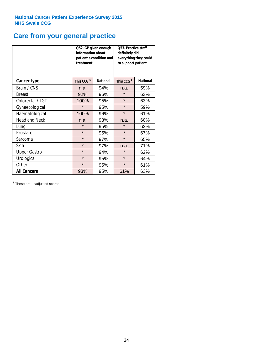# **Care from your general practice**

|                      | information about<br>treatment | Q52. GP given enough<br>patient's condition and | Q53. Practice staff<br>definitely did<br>everything they could<br>to support patient |                 |  |
|----------------------|--------------------------------|-------------------------------------------------|--------------------------------------------------------------------------------------|-----------------|--|
| <b>Cancer type</b>   | This CCG <sup>\$</sup>         | <b>National</b>                                 | This CCG <sup>\$</sup>                                                               | <b>National</b> |  |
| Brain / CNS          | n.a.                           | 94%                                             | n.a.                                                                                 | 59%             |  |
| <b>Breast</b>        | 92%                            | 96%                                             | $\star$                                                                              | 63%             |  |
| Colorectal / LGT     | 100%                           | 95%                                             | $\star$                                                                              | 63%             |  |
| Gynaecological       | $\star$                        | 95%                                             | $\star$                                                                              | 59%             |  |
| Haematological       | 100%                           | 96%                                             | $\star$                                                                              | 61%             |  |
| <b>Head and Neck</b> | n.a.                           | 93%                                             | n.a.                                                                                 | 60%             |  |
| Lung                 | $\star$                        | 95%                                             | $\star$                                                                              | 62%             |  |
| Prostate             | $\star$                        | 95%                                             | $\star$                                                                              | 67%             |  |
| Sarcoma              | $\star$                        | 97%                                             | $\star$                                                                              | 65%             |  |
| <b>Skin</b>          | $\star$                        | 97%                                             | n.a.                                                                                 | 71%             |  |
| <b>Upper Gastro</b>  | $\star$                        | 94%                                             | $\star$                                                                              | 62%             |  |
| Urological           | $\star$                        | 95%                                             | $\star$                                                                              | 64%             |  |
| Other                | $\star$                        | 95%                                             | $\star$                                                                              | 61%             |  |
| <b>All Cancers</b>   | 93%                            | 95%                                             | 61%                                                                                  | 63%             |  |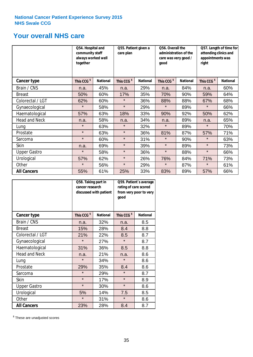## **Your overall NHS care**

|                      | Q54. Hospital and<br>community staff<br>always worked well<br>together | Q55. Patient given a<br>care plan |                        |                 | Q56. Overall the<br>administration of the<br>care was very good /<br>qood |                 | Q57. Length of time for<br>attending clinics and<br>appointments was<br>right |                 |
|----------------------|------------------------------------------------------------------------|-----------------------------------|------------------------|-----------------|---------------------------------------------------------------------------|-----------------|-------------------------------------------------------------------------------|-----------------|
| Cancer type          | This CCG <sup>\$</sup>                                                 | <b>National</b>                   | This CCG <sup>\$</sup> | <b>National</b> | This CCG <sup>\$</sup>                                                    | <b>National</b> | This CCG <sup>\$</sup>                                                        | <b>National</b> |
| Brain / CNS          | n.a.                                                                   | 45%                               | n.a.                   | 29%             | n.a.                                                                      | 84%             | n.a.                                                                          | 60%             |
| <b>Breast</b>        | 50%                                                                    | 60%                               | 17%                    | 35%             | 70%                                                                       | 90%             | 59%                                                                           | 64%             |
| Colorectal / LGT     | 62%                                                                    | 60%                               | $\star$                | 36%             | 88%                                                                       | 88%             | 67%                                                                           | 68%             |
| Gynaecological       | $\star$                                                                | 58%                               | $\star$                | 29%             | $\star$                                                                   | 89%             | $\star$                                                                       | 66%             |
| Haematological       | 57%                                                                    | 63%                               | 18%                    | 33%             | 90%                                                                       | 92%             | 50%                                                                           | 62%             |
| <b>Head and Neck</b> | n.a.                                                                   | 58%                               | n.a.                   | 34%             | n.a.                                                                      | 89%             | n.a.                                                                          | 65%             |
| Lung                 | $\star$                                                                | 63%                               | $\star$                | 32%             | $\star$                                                                   | 89%             | $\star$                                                                       | 70%             |
| Prostate             | $\star$                                                                | 63%                               | $\star$                | 36%             | 81%                                                                       | 87%             | 57%                                                                           | 71%             |
| Sarcoma              | $\star$                                                                | 60%                               | $\star$                | 31%             | $\star$                                                                   | 90%             | $\star$                                                                       | 63%             |
| Skin                 | n.a.                                                                   | 69%                               | $\star$                | 39%             | $\star$                                                                   | 89%             | $\star$                                                                       | 73%             |
| <b>Upper Gastro</b>  | $\star$                                                                | 58%                               | $\star$                | 36%             | $\star$                                                                   | 88%             | $\star$                                                                       | 66%             |
| Urological           | 57%                                                                    | 62%                               | $\star$                | 26%             | 76%                                                                       | 84%             | 71%                                                                           | 73%             |
| Other                | $\star$                                                                | 56%                               | $\star$                | 29%             | $\star$                                                                   | 87%             | $\star$                                                                       | 61%             |
| <b>All Cancers</b>   | 55%                                                                    | 61%                               | 25%                    | 33%             | 83%                                                                       | 89%             | 57%                                                                           | 66%             |

|                      | Q58. Taking part in<br>cancer research | discussed with patient | Q59. Patient's average<br>rating of care scored<br>from very poor to very<br>good |                 |  |
|----------------------|----------------------------------------|------------------------|-----------------------------------------------------------------------------------|-----------------|--|
| <b>Cancer type</b>   | This CCG <sup>\$</sup>                 | <b>National</b>        | This CCG <sup>\$</sup>                                                            | <b>National</b> |  |
| Brain / CNS          | n.a.                                   | 32%                    | n.a.                                                                              | 8.5             |  |
| <b>Breast</b>        | 15%                                    | 28%                    | 8.4                                                                               | 8.8             |  |
| Colorectal / LGT     | 21%                                    | 22%                    | 8.5                                                                               | 8.7             |  |
| Gynaecological       | $\star$                                | 27%                    | $\star$                                                                           | 8.7             |  |
| Haematological       | 31%                                    | 36%                    | 8.5                                                                               | 8.8             |  |
| <b>Head and Neck</b> | n.a.                                   | 21%                    | n.a.                                                                              | 8.6             |  |
| Lung                 | $\star$                                | 34%                    | $\star$                                                                           | 8.6             |  |
| Prostate             | 29%                                    | 35%                    | 8.4                                                                               | 8.6             |  |
| Sarcoma              | $\star$                                | 29%                    | $\star$                                                                           | 8.7             |  |
| Skin                 | $\star$                                | 17%                    | $\star$                                                                           | 8.9             |  |
| <b>Upper Gastro</b>  | $\star$                                | 30%                    | $\star$                                                                           | 8.6             |  |
| Urological           | 5%                                     | 14%                    | 7.5                                                                               | 8.5             |  |
| Other                | $\star$                                | 31%                    | $\star$                                                                           | 8.6             |  |
| <b>All Cancers</b>   | 23%                                    | 28%                    | 8.4                                                                               | 8.7             |  |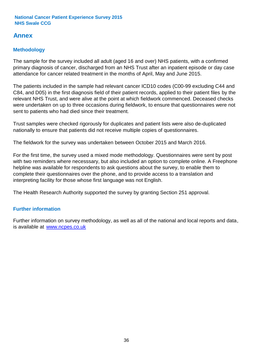## **Annex**

## **Methodology**

The sample for the survey included all adult (aged 16 and over) NHS patients, with a confirmed primary diagnosis of cancer, discharged from an NHS Trust after an inpatient episode or day case attendance for cancer related treatment in the months of April, May and June 2015.

The patients included in the sample had relevant cancer ICD10 codes (C00-99 excluding C44 and C84, and D05) in the first diagnosis field of their patient records, applied to their patient files by the relevant NHS Trust, and were alive at the point at which fieldwork commenced. Deceased checks were undertaken on up to three occasions during fieldwork, to ensure that questionnaires were not sent to patients who had died since their treatment.

Trust samples were checked rigorously for duplicates and patient lists were also de-duplicated nationally to ensure that patients did not receive multiple copies of questionnaires.

The fieldwork for the survey was undertaken between October 2015 and March 2016.

For the first time, the survey used a mixed mode methodology. Questionnaires were sent by post with two reminders where necesssary, but also included an option to complete online. A Freephone helpline was available for respondents to ask questions about the survey, to enable them to complete their questionnaires over the phone, and to provide access to a translation and interpreting facility for those whose first language was not English.

The Health Research Authority supported the survey by granting Section 251 approval.

## **Further information**

Further information on survey methodology, as well as all of the national and local reports and data, is available at www.ncpes.co.uk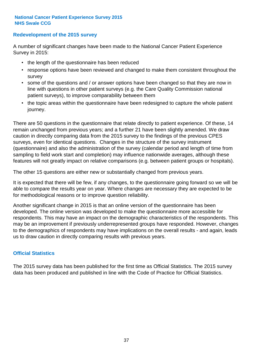### **Redevelopment of the 2015 survey**

A number of significant changes have been made to the National Cancer Patient Experience Survey in 2015:

- the length of the questionnaire has been reduced
- response options have been reviewed and changed to make them consistent throughout the survey
- some of the questions and / or answer options have been changed so that they are now in line with questions in other patient surveys (e.g. the Care Quality Commission national patient surveys), to improve comparability between them
- the topic areas within the questionnaire have been redesigned to capture the whole patient journey.

There are 50 questions in the questionnaire that relate directly to patient experience. Of these, 14 remain unchanged from previous years; and a further 21 have been slightly amended. We draw caution in directly comparing data from the 2015 survey to the findings of the previous CPES surveys, even for identical questions. Changes in the structure of the survey instrument (questionnaire) and also the administration of the survey (calendar period and length of time from sampling to field work start and completion) may influence nationwide averages, although these features will not greatly impact on relative comparisons (e.g. between patient groups or hospitals).

The other 15 questions are either new or substantially changed from previous years.

It is expected that there will be few, if any changes, to the questionnaire going forward so we will be able to compare the results year on year. Where changes are necessary they are expected to be for methodological reasons or to improve question reliability.

Another significant change in 2015 is that an online version of the questionnaire has been developed. The online version was developed to make the questionnaire more accessible for respondents. This may have an impact on the demographic characteristics of the respondents. This may be an improvement if previously underrepresented groups have responded. However, changes to the demographics of respondents may have implications on the overall results - and again, leads us to draw caution in directly comparing results with previous years.

### **Official Statistics**

The 2015 survey data has been published for the first time as Official Statistics. The 2015 survey data has been produced and published in line with the Code of Practice for Official Statistics.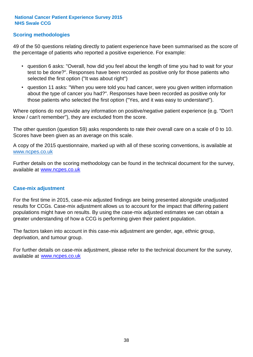### **Scoring methodologies**

49 of the 50 questions relating directly to patient experience have been summarised as the score of the percentage of patients who reported a positive experience. For example:

- question 6 asks: "Overall, how did you feel about the length of time you had to wait for your test to be done?". Responses have been recorded as positive only for those patients who selected the first option ("It was about right")
- question 11 asks: "When you were told you had cancer, were you given written information about the type of cancer you had?". Responses have been recorded as positive only for those patients who selected the first option ("Yes, and it was easy to understand").

Where options do not provide any information on positive/negative patient experience (e.g. "Don't know / can't remember"), they are excluded from the score.

The other question (question 59) asks respondents to rate their overall care on a scale of 0 to 10. Scores have been given as an average on this scale.

A copy of the 2015 questionnaire, marked up with all of these scoring conventions, is available at www.ncpes.co.uk

Further details on the scoring methodology can be found in the technical document for the survey, available at <u>www.ncpes.co.uk</u>

#### **Case-mix adjustment**

For the first time in 2015, case-mix adjusted findings are being presented alongside unadjusted results for CCGs. Case-mix adjustment allows us to account for the impact that differing patient populations might have on results. By using the case-mix adjusted estimates we can obtain a greater understanding of how a CCG is performing given their patient population.

The factors taken into account in this case-mix adjustment are gender, age, ethnic group, deprivation, and tumour group.

For further details on case-mix adjustment, please refer to the technical document for the survey, available at www.ncpes.co.uk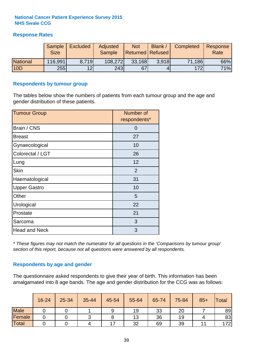## **Response Rates**

|                 | Sample      | <b>Excluded</b> | Adjusted      | <b>Not</b>              | Blank / | Completed | Response |
|-----------------|-------------|-----------------|---------------|-------------------------|---------|-----------|----------|
|                 | <b>Size</b> |                 | <b>Sample</b> | <b>Returned Refused</b> |         |           | Rate     |
| <b>National</b> | 116,991     | 8.719           | 108,272       | 33,168                  | 3.918   | 71,186    | 66%      |
| 10D             | <b>255</b>  | 12 <sub>l</sub> | 243           | 67                      |         | 172       | 71%      |

#### **Respondents by tumour group**

The tables below show the numbers of patients from each tumour group and the age and gender distribution of these patients.

| <b>Tumour Group</b>  | Number of<br>respondents* |  |  |
|----------------------|---------------------------|--|--|
| Brain / CNS          | 0                         |  |  |
| <b>Breast</b>        | 27                        |  |  |
| Gynaecological       | 10                        |  |  |
| Colorectal / LGT     | 26                        |  |  |
| Lung                 | 12                        |  |  |
| <b>Skin</b>          | 2                         |  |  |
| Haematological       | 31                        |  |  |
| <b>Upper Gastro</b>  | 10                        |  |  |
| Other                | 5                         |  |  |
| Urological           | 22                        |  |  |
| Prostate             | 21                        |  |  |
| Sarcoma              | 3                         |  |  |
| <b>Head and Neck</b> | 3                         |  |  |

*\* These figures may not match the numerator for all questions in the 'Comparisons by tumour group' section of this report, because not all questions were answered by all respondents.*

### **Respondents by age and gender**

The questionnaire asked respondents to give their year of birth. This information has been amalgamated into 8 age bands. The age and gender distribution for the CCG was as follows:

|             | 16-24 | 25-34 | 35-44 | 45-54 | 55-64 | 65-74 | 75-84 | $85+$ | Total |
|-------------|-------|-------|-------|-------|-------|-------|-------|-------|-------|
| <b>Male</b> |       |       |       | 9     | 19    | 33    | 20    |       | 89    |
| Female      |       |       |       |       | 13    | 36    | 19    |       | 83    |
| Total       |       |       |       |       | 32    | 69    | 39    |       | 172   |